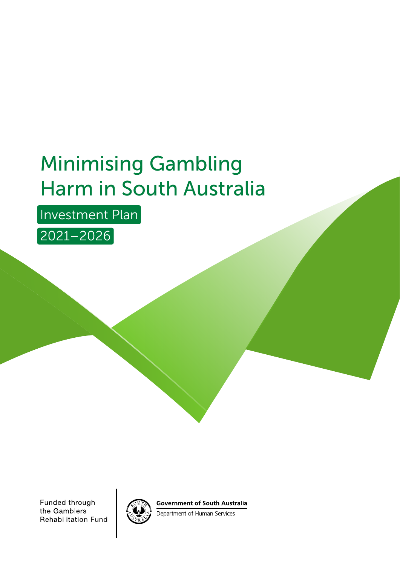# Minimising Gambling Harm in South Australia

Investment Plan

2021–2026

Funded through the Gamblers **Rehabilitation Fund** 



**Government of South Australia** 

Department of Human Services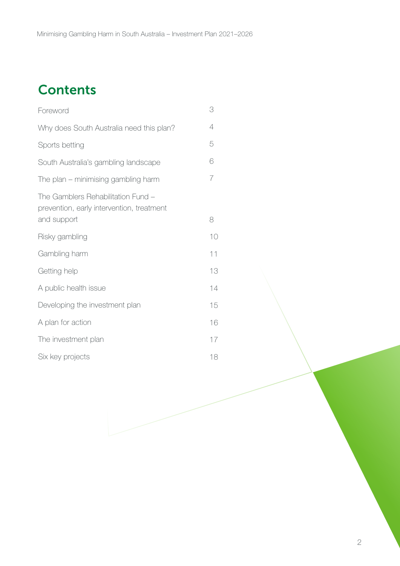## **Contents**

| Foreword                                                                        | 3              |
|---------------------------------------------------------------------------------|----------------|
| Why does South Australia need this plan?                                        | $\overline{4}$ |
| Sports betting                                                                  | 5              |
| South Australia's gambling landscape                                            | 6              |
| The plan – minimising gambling harm                                             | 7              |
| The Gamblers Rehabilitation Fund -<br>prevention, early intervention, treatment |                |
| and support                                                                     | 8              |
| Risky gambling                                                                  | 10             |
| Gambling harm                                                                   | 11             |
| Getting help                                                                    | 13             |
| A public health issue                                                           | 14             |
| Developing the investment plan                                                  | 15             |
| A plan for action                                                               | 16             |
| The investment plan                                                             | 17             |
| Six key projects                                                                | 18             |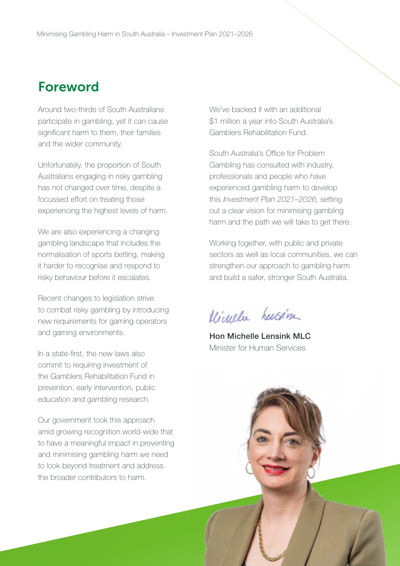### <span id="page-2-0"></span>Foreword

Around two-thirds of South Australians participate in gambling, yet it can cause significant harm to them, their families and the wider community.

Unfortunately, the proportion of South Australians engaging in risky gambling has not changed over time, despite a focussed effort on treating those experiencing the highest levels of harm.

We are also experiencing a changing gambling landscape that includes the normalisation of sports betting, making it harder to recognise and respond to risky behaviour before it escalates.

Recent changes to legislation strive to combat risky gambling by introducing new requirements for gaming operators and gaming environments.

In a state-first, the new laws also commit to requiring investment of the Gamblers Rehabilitation Fund in prevention, early intervention, public education and gambling research.

Our government took this approach amid growing recognition world-wide that to have a meaningful impact in preventing and minimising gambling harm we need to look beyond treatment and address the broader contributors to harm.

We've backed it with an additional \$1 million a year into South Australia's Gamblers Rehabilitation Fund.

South Australia's Office for Problem Gambling has consulted with industry, professionals and people who have experienced gambling harm to develop this Investment Plan 2021–2026, setting out a clear vision for minimising gambling harm and the path we will take to get there.

Working together, with public and private sectors as well as local communities, we can strengthen our approach to gambling harm and build a safer, stronger South Australia.

Microla hussin

Hon Michelle Lensink MLC Minister for Human Services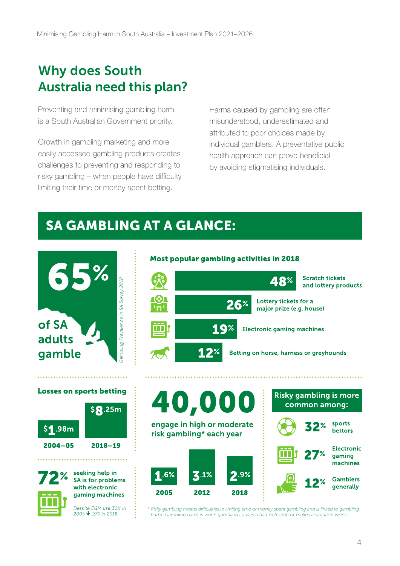## <span id="page-3-0"></span>Why does South Australia need this plan?

Preventing and minimising gambling harm is a South Australian Government priority.

Growth in gambling marketing and more easily accessed gambling products creates challenges to preventing and responding to risky gambling – when people have difficulty limiting their time or money spent betting.

Harms caused by gambling are often misunderstood, underestimated and attributed to poor choices made by individual gamblers. A preventative public health approach can prove beneficial by avoiding stigmatising individuals.

### SA GAMBLING AT A GLANCE:

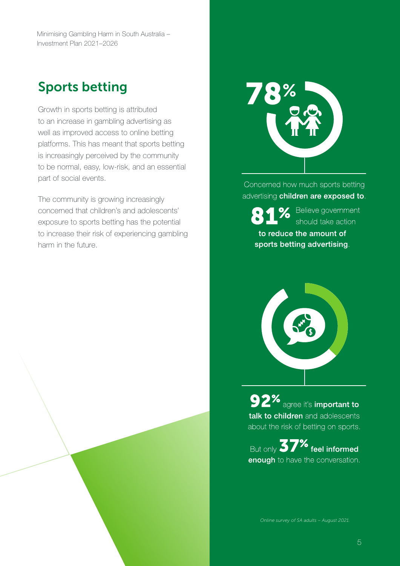<span id="page-4-0"></span>Minimising Gambling Harm in South Australia – Investment Plan 2021–2026

### Sports betting

Growth in sports betting is attributed to an increase in gambling advertising as well as improved access to online betting platforms. This has meant that sports betting is increasingly perceived by the community to be normal, easy, low-risk, and an essential part of social events.

The community is growing increasingly concerned that children's and adolescents' exposure to sports betting has the potential to increase their risk of experiencing gambling harm in the future.



Concerned how much sports betting advertising children are exposed to.

sports betting advertising.



Solieve government<br>Should take action to reduce the amount of



**92%** agree it's important to talk to children and adolescents about the risk of betting on sports.

But only 37% feel informed enough to have the conversation.

*Online survey of SA adults – August 2021.*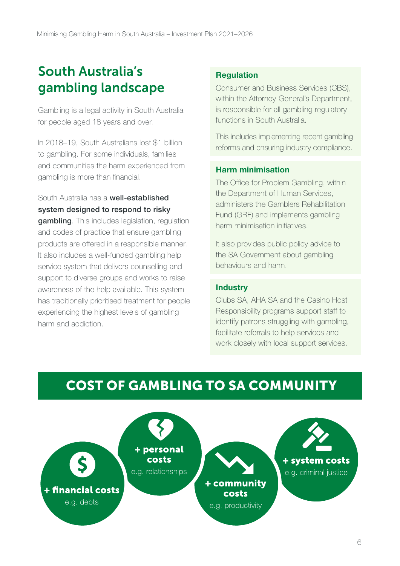## <span id="page-5-0"></span>South Australia's gambling landscape

Gambling is a legal activity in South Australia for people aged 18 years and over.

In 2018–19, South Australians lost \$1 billion to gambling. For some individuals, families and communities the harm experienced from gambling is more than financial.

### South Australia has a well-established system designed to respond to risky

gambling. This includes legislation, regulation and codes of practice that ensure gambling products are offered in a responsible manner. It also includes a well-funded gambling help service system that delivers counselling and support to diverse groups and works to raise awareness of the help available. This system has traditionally prioritised treatment for people experiencing the highest levels of gambling harm and addiction.

#### Regulation

Consumer and Business Services (CBS), within the Attorney-General's Department, is responsible for all gambling regulatory functions in South Australia.

This includes implementing recent gambling reforms and ensuring industry compliance.

#### Harm minimisation

The Office for Problem Gambling, within the Department of Human Services, administers the Gamblers Rehabilitation Fund (GRF) and implements gambling harm minimisation initiatives.

It also provides public policy advice to the SA Government about gambling behaviours and harm.

#### **Industry**

Clubs SA, AHA SA and the Casino Host Responsibility programs support staff to identify patrons struggling with gambling, facilitate referrals to help services and work closely with local support services.

### COST OF GAMBLING TO SA COMMUNITY

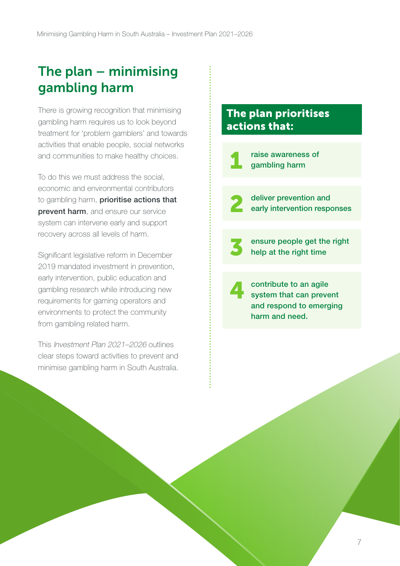## <span id="page-6-0"></span>The plan – minimising gambling harm

There is growing recognition that minimising gambling harm requires us to look beyond treatment for 'problem gamblers' and towards activities that enable people, social networks and communities to make healthy choices.

To do this we must address the social, economic and environmental contributors to gambling harm, **prioritise actions that** prevent harm, and ensure our service system can intervene early and support recovery across all levels of harm.

Significant legislative reform in December 2019 mandated investment in prevention, early intervention, public education and gambling research while introducing new requirements for gaming operators and environments to protect the community from gambling related harm.

This Investment Plan 2021–2026 outlines clear steps toward activities to prevent and minimise gambling harm in South Australia.

### The plan prioritises actions that:

raise awareness of<br>gambling harm deliver prevention and<br>early intervention responses ensure people get the right<br>help at the right time 4 contribute to an agile system that can prevent and respond to emerging harm and need.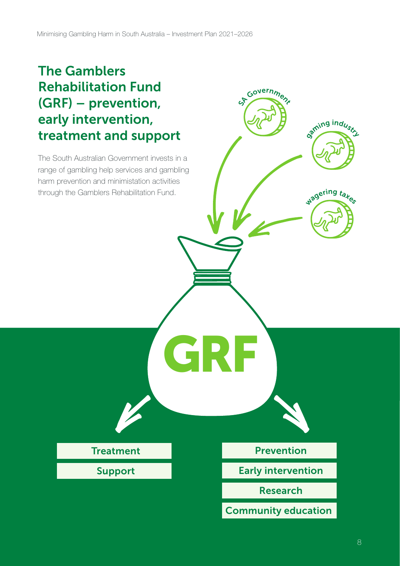### <span id="page-7-0"></span>The Gamblers Rehabilitation Fund (GRF) – prevention, early intervention, treatment and support

The South Australian Government invests in a range of gambling help services and gambling harm prevention and minimistation activities through the Gamblers Rehabilitation Fund.

Support

Treatment **Prevention** 

GRF

Govern<sub>me</sub>

aming industry

wagering takes

Early intervention

Research

Community education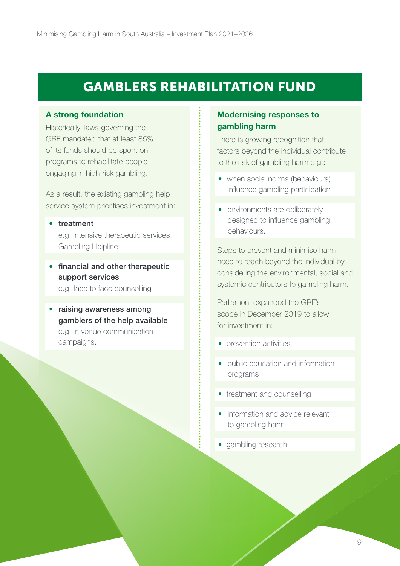### GAMBLERS REHABILITATION FUND

#### A strong foundation

Historically, laws governing the GRF mandated that at least 85% of its funds should be spent on programs to rehabilitate people engaging in high-risk gambling.

As a result, the existing gambling help service system prioritises investment in:

#### • treatment

e. g. intensive therapeutic services, Gambling Helpline

• financial and other therapeutic support services

e. g. face to face counselling

• raising awareness among e. g. in venue communication gamblers of the help available campaigns.

#### Modernising responses to gambling harm

There is growing recognition that factors beyond the individual contribute to the risk of gambling harm e.g.:

- when social norms (behaviours) influence gambling participation
- environments are deliberately designed to influence gambling behaviours.

Steps to prevent and minimise harm need to reach beyond the individual by considering the environmental, social and systemic contributors to gambling harm.

Parliament expanded the GRF's scope in December 2019 to allow for investment in:

- prevention activities
- public education and information programs
- treatment and counselling
- information and advice relevant to gambling harm
- gambling research.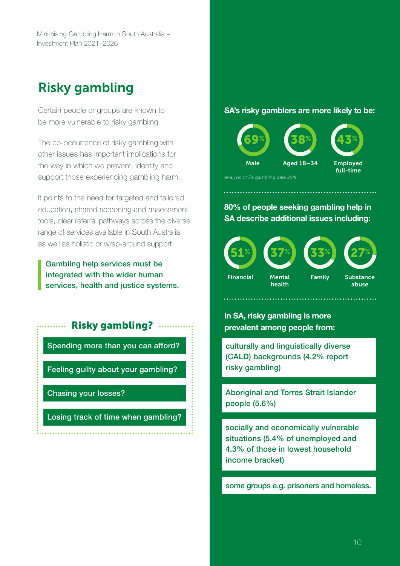### <span id="page-9-0"></span>Risky gambling

Certain people or groups are known to be more vulnerable to risky gambling.

The co-occurrence of risky gambling with other issues has important implications for the way in which we prevent, identify and support those experiencing gambling harm.

It points to the need for targeted and tailored education, shared screening and assessment tools, clear referral pathways across the diverse range of services available in South Australia, as well as holistic or wrap-around support.

Gambling help services must be integrated with the wider human services, health and justice systems.

### Risky gambling?

Spending more than you can afford?

Feeling guilty about your gambling?

Chasing your losses?

Losing track of time when gambling?

#### SA's risky gamblers are more likely to be:



*Analysis of SA gambling data* 2018.

80% of people seeking gambling help in SA describe additional issues including:



In SA, risky gambling is more prevalent among people from:

culturally and linguistically diverse (CALD) backgrounds (4.2% report risky gambling)

Aboriginal and Torres Strait Islander people (5.6%)

socially and economically vulnerable situations (5.4% of unemployed and 4.3% of those in lowest household income bracket)

some groups e.g. prisoners and homeless.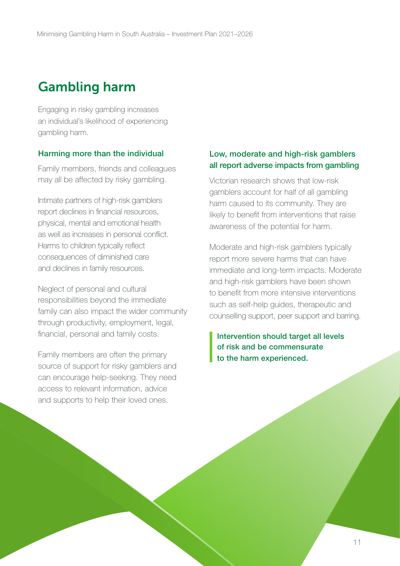### <span id="page-10-0"></span>Gambling harm

Engaging in risky gambling increases an individual's likelihood of experiencing gambling harm.

#### Harming more than the individual

Family members, friends and colleagues may all be affected by risky gambling.

Intimate partners of high-risk gamblers report declines in financial resources, physical, mental and emotional health as well as increases in personal conflict. Harms to children typically reflect consequences of diminished care and declines in family resources.

Neglect of personal and cultural responsibilities beyond the immediate family can also impact the wider community through productivity, employment, legal, financial, personal and family costs.

Family members are often the primary source of support for risky gamblers and can encourage help-seeking. They need access to relevant information, advice and supports to help their loved ones.

#### Low, moderate and high-risk gamblers all report adverse impacts from gambling

Victorian research shows that low-risk gamblers account for half of all gambling harm caused to its community. They are likely to benefit from interventions that raise awareness of the potential for harm.

Moderate and high-risk gamblers typically report more severe harms that can have immediate and long-term impacts. Moderate and high-risk gamblers have been shown to benefit from more intensive interventions such as self-help guides, therapeutic and counselling support, peer support and barring.

Intervention should target all levels of risk and be commensurate to the harm experienced.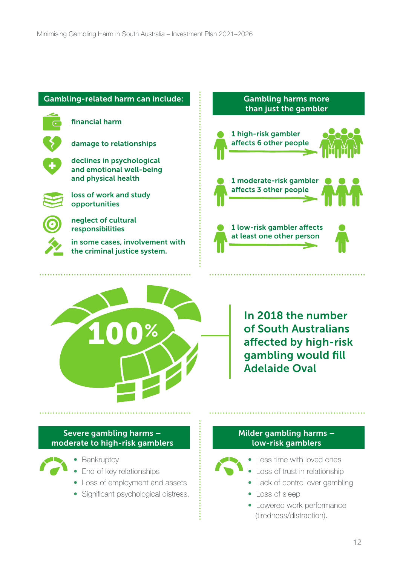#### Gambling-related harm can include:

financial harm

 $\overline{G}$ 

damage to relationships

declines in psychological and emotional well-being and physical health



loss of work and study opportunities

neglect of cultural responsibilities

in some cases, involvement with the criminal justice system.



Gambling harms more



In 2018 the number of South Australians affected by high-risk gambling would fill Adelaide Oval

#### Severe gambling harms – moderate to high-risk gamblers



- Bankruptcy
- End of key relationships
- Loss of employment and assets
- Significant psychological distress.

#### Milder gambling harms – low-risk gamblers



- Less time with loved ones
- Loss of trust in relationship
- Lack of control over gambling
- Loss of sleep
- Lowered work performance (tiredness/distraction).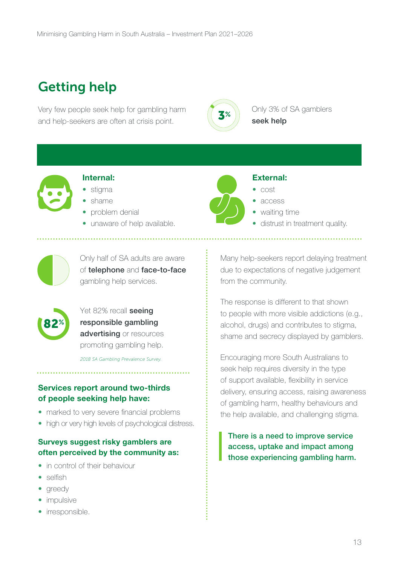## <span id="page-12-0"></span>Getting help

Very few people seek help for gambling harm  $\left(\left(3\%\right)\right)$  Only 3% of SA gamblers and help-seekers are often at crisis point.



seek help



#### Internal:

- stigma
- shame
- problem denial
- unaware of help available.



#### External:

- cost
- access
- 
- waiting time
- distrust in treatment quality.



Only half of SA adults are aware of telephone and face-to-face gambling help services.



Yet 82% recall seeing responsible gambling advertising or resources promoting gambling help.

*2018 SA Gambling Prevalence Survey.*

#### Services report around two-thirds of people seeking help have:

- marked to very severe financial problems
- high or very high levels of psychological distress.

#### Surveys suggest risky gamblers are often perceived by the community as:

- in control of their behaviour
- selfish
- greedy
- impulsive
- irresponsible.

Many help-seekers report delaying treatment due to expectations of negative judgement from the community.

The response is different to that shown to people with more visible addictions (e.g., alcohol, drugs) and contributes to stigma, shame and secrecy displayed by gamblers.

Encouraging more South Australians to seek help requires diversity in the type of support available, flexibility in service delivery, ensuring access, raising awareness of gambling harm, healthy behaviours and the help available, and challenging stigma.

There is a need to improve service access, uptake and impact among those experiencing gambling harm.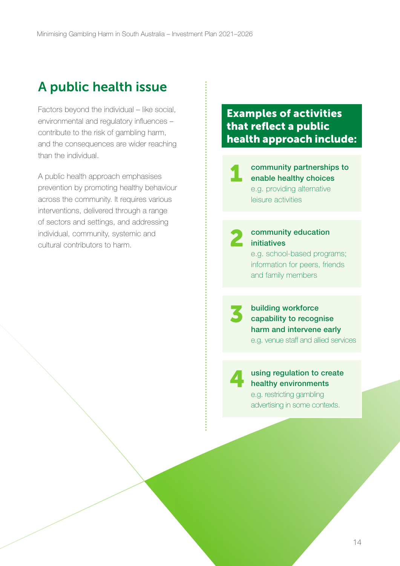### <span id="page-13-0"></span>A public health issue

Factors beyond the individual – like social, environmental and regulatory influences – contribute to the risk of gambling harm, and the consequences are wider reaching than the individual.

A public health approach emphasises prevention by promoting healthy behaviour across the community. It requires various interventions, delivered through a range of sectors and settings, and addressing individual, community, systemic and cultural contributors to harm.

### Examples of activities that reflect a public health approach include:

1 community partnerships to enable healthy choices e.g. providing alternative leisure activities

2

3

#### community education initiatives

e.g. school-based programs; information for peers, friends and family members

building workforce capability to recognise harm and intervene early e.g. venue staff and allied services

4

#### using regulation to create healthy environments

e.g. restricting gambling advertising in some contexts.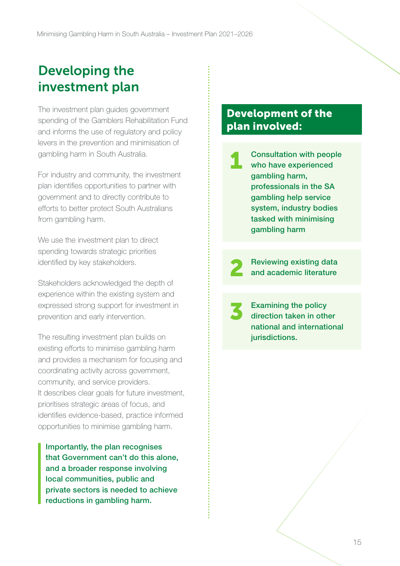### <span id="page-14-0"></span>Developing the investment plan

The investment plan guides government spending of the Gamblers Rehabilitation Fund and informs the use of regulatory and policy levers in the prevention and minimisation of gambling harm in South Australia.

For industry and community, the investment plan identifies opportunities to partner with government and to directly contribute to efforts to better protect South Australians from gambling harm.

We use the investment plan to direct spending towards strategic priorities identified by key stakeholders.

Stakeholders acknowledged the depth of experience within the existing system and expressed strong support for investment in prevention and early intervention.

The resulting investment plan builds on existing efforts to minimise gambling harm and provides a mechanism for focusing and coordinating activity across government, community, and service providers. It describes clear goals for future investment, prioritises strategic areas of focus, and identifies evidence-based, practice informed opportunities to minimise gambling harm.

Importantly, the plan recognises that Government can't do this alone, and a broader response involving local communities, public and private sectors is needed to achieve reductions in gambling harm.

### Development of the plan involved:

Consultation with people who have experienced gambling harm, professionals in the SA gambling help service system, industry bodies tasked with minimising gambling harm 1

Reviewing existing data<br>and academic literature

Examining the policy direction taken in other national and international jurisdictions.

3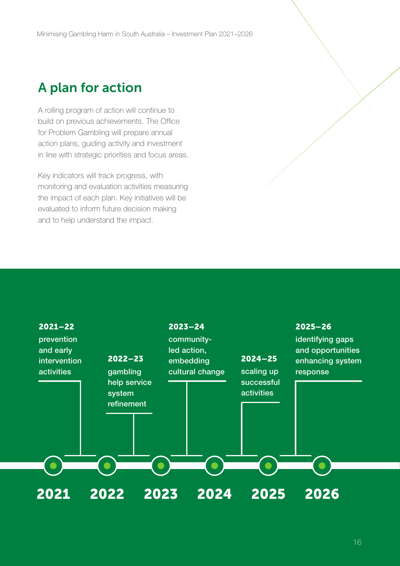### <span id="page-15-0"></span>A plan for action

A rolling program of action will continue to build on previous achievements. The Office for Problem Gambling will prepare annual action plans, guiding activity and investment in line with strategic priorities and focus areas.

Key indicators will track progress, with monitoring and evaluation activities measuring the impact of each plan. Key initiatives will be evaluated to inform future decision making and to help understand the impact.

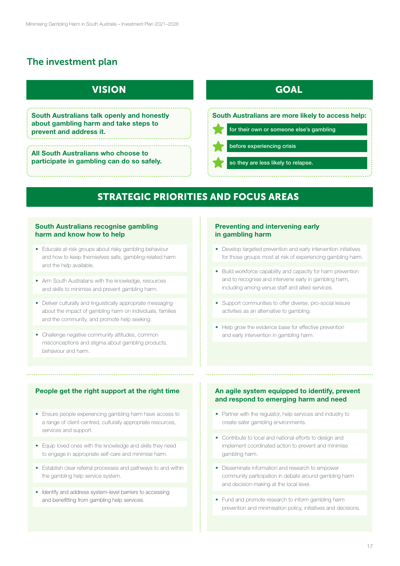### <span id="page-16-0"></span>The investment plan

### VISION GOAL

### STRATEGIC PRIORITIES AND FOCUS AREAS

#### South Australians recognise gambling harm and know how to help

#### People get the right support at the right time  $\qquad \qquad$  An agile system equipped to identify, prevent and respond to emerging harm and need

#### Preventing and intervening early in gambling harm

• Partner with the regulator, help services and industry to create safer gambling environments.

• Fund and promote research to inform gambling harm prevention and minimisation policy, initiatives and decisions.

before experiencing crisis

South Australians talk openly and honestly about gambling harm and take steps to prevent and address it.

All South Australians who choose to participate in gambling can do so safely.

#### South Australians are more likely to access help:

for their own or someone else's gambling

so they are less likely to relapse.

- Educate at-risk groups about risky gambling behaviour and how to keep themselves safe, gambling-related harm and the help available.
- Arm South Australians with the knowledge, resources and skills to minimise and prevent gambling harm.
- Deliver culturally and linguistically appropriate messaging about the impact of gambling harm on individuals, families and the community, and promote help seeking.
- Challenge negative community attitudes, common misconceptions and stigma about gambling products, behaviour and harm.

- Equip loved ones with the knowledge and skills they need to engage in appropriate self-care and minimise harm.
- Establish clear referral processes and pathways to and within the gambling help service system.
- Identify and address system-level barriers to accessing and benefitting from gambling help services.
- Contribute to local and national efforts to design and implement coordinated action to prevent and minimise gambling harm.
- Disseminate information and research to empower community participation in debate around gambling harm and decision-making at the local level.
- Develop targeted prevention and early intervention initiatives for those groups most at risk of experiencing gambling harm.
- Build workforce capability and capacity for harm prevention and to recognise and intervene early in gambling harm, including among venue staff and allied services.
- Support communities to offer diverse, pro-social leisure activities as an alternative to gambling.
- Help grow the evidence base for effective prevention and early intervention in gambling harm.

• Ensure people experiencing gambling harm have access to a range of client-centred, culturally appropriate resources,

#### services and support.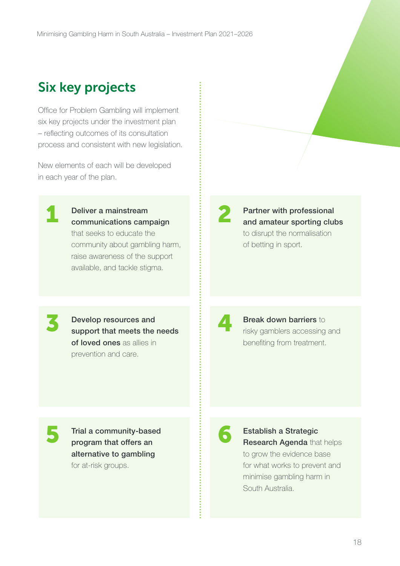### <span id="page-17-0"></span>Six key projects

Office for Problem Gambling will implement six key projects under the investment plan – reflecting outcomes of its consultation process and consistent with new legislation.

New elements of each will be developed in each year of the plan.

Deliver a mainstream communications campaign that seeks to educate the community about gambling harm, raise awareness of the support available, and tackle stigma.

Partner with professional and amateur sporting clubs to disrupt the normalisation of betting in sport.

3 Develop resources and support that meets the needs of loved ones as allies in prevention and care.

## **4 Break down barriers** to risky gamblers accessing and benefiting from treatment.

Trial a community-based program that offers an alternative to gambling for at-risk groups.

Establish a Strategic Research Agenda that helps to grow the evidence base for what works to prevent and minimise gambling harm in South Australia.